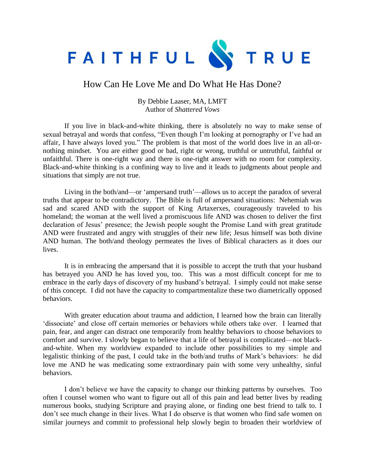

## How Can He Love Me and Do What He Has Done?

## By Debbie Laaser, MA, LMFT Author of *Shattered Vows*

If you live in black-and-white thinking, there is absolutely no way to make sense of sexual betrayal and words that confess, "Even though I'm looking at pornography or I've had an affair, I have always loved you." The problem is that most of the world does live in an all-ornothing mindset. You are either good or bad, right or wrong, truthful or untruthful, faithful or unfaithful. There is one-right way and there is one-right answer with no room for complexity. Black-and-white thinking is a confining way to live and it leads to judgments about people and situations that simply are not true.

Living in the both/and—or 'ampersand truth'—allows us to accept the paradox of several truths that appear to be contradictory. The Bible is full of ampersand situations: Nehemiah was sad and scared AND with the support of King Artaxerxes, courageously traveled to his homeland; the woman at the well lived a promiscuous life AND was chosen to deliver the first declaration of Jesus' presence; the Jewish people sought the Promise Land with great gratitude AND were frustrated and angry with struggles of their new life; Jesus himself was both divine AND human. The both/and theology permeates the lives of Biblical characters as it does our lives.

It is in embracing the ampersand that it is possible to accept the truth that your husband has betrayed you AND he has loved you, too. This was a most difficult concept for me to embrace in the early days of discovery of my husband's betrayal. I simply could not make sense of this concept. I did not have the capacity to compartmentalize these two diametrically opposed behaviors.

With greater education about trauma and addiction, I learned how the brain can literally 'dissociate' and close off certain memories or behaviors while others take over. I learned that pain, fear, and anger can distract one temporarily from healthy behaviors to choose behaviors to comfort and survive. I slowly began to believe that a life of betrayal is complicated—not blackand-white. When my worldview expanded to include other possibilities to my simple and legalistic thinking of the past, I could take in the both/and truths of Mark's behaviors: he did love me AND he was medicating some extraordinary pain with some very unhealthy, sinful behaviors.

I don't believe we have the capacity to change our thinking patterns by ourselves. Too often I counsel women who want to figure out all of this pain and lead better lives by reading numerous books, studying Scripture and praying alone, or finding one best friend to talk to. I don't see much change in their lives. What I do observe is that women who find safe women on similar journeys and commit to professional help slowly begin to broaden their worldview of